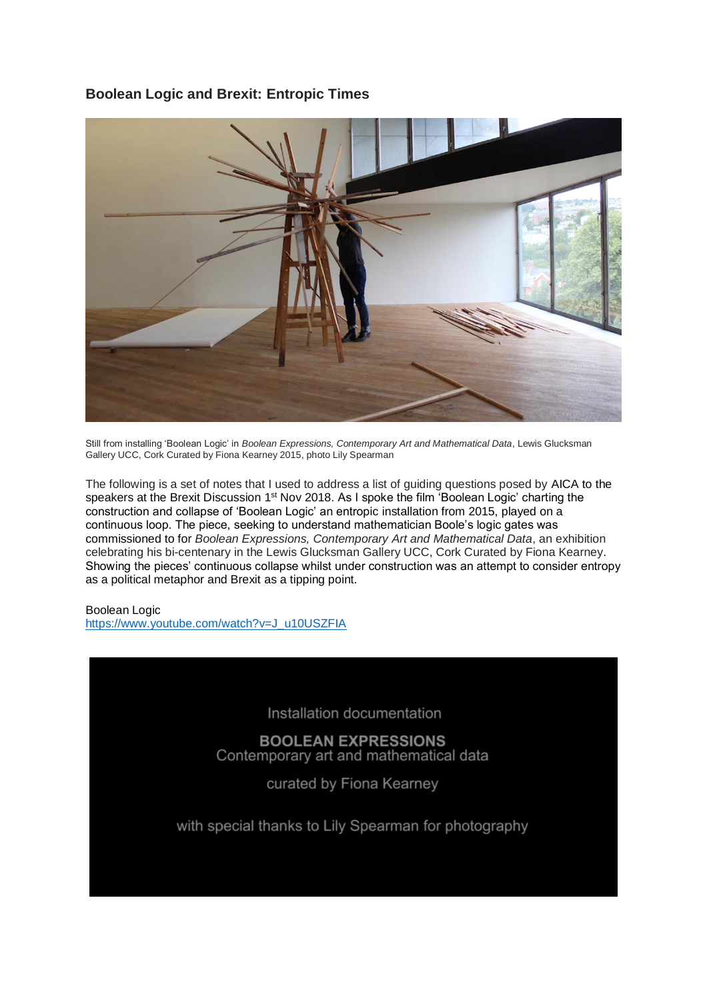# **Boolean Logic and Brexit: Entropic Times**



Still from installing 'Boolean Logic' in *Boolean Expressions, Contemporary Art and Mathematical Data*, Lewis Glucksman Gallery UCC, Cork Curated by Fiona Kearney 2015, photo Lily Spearman

The following is a set of notes that I used to address a list of guiding questions posed by AICA to the speakers at the Brexit Discussion 1<sup>st</sup> Nov 2018. As I spoke the film 'Boolean Logic' charting the construction and collapse of 'Boolean Logic' an entropic installation from 2015, played on a continuous loop. The piece, seeking to understand mathematician Boole's logic gates was commissioned to for *Boolean Expressions, Contemporary Art and Mathematical Data*, an exhibition celebrating his bi-centenary in the Lewis Glucksman Gallery UCC, Cork Curated by Fiona Kearney. Showing the pieces' continuous collapse whilst under construction was an attempt to consider entropy as a political metaphor and Brexit as a tipping point.

# Boolean Logic

[https://www.youtube.com/watch?v=J\\_u10USZFIA](https://www.youtube.com/watch?v=J_u10USZFIA)

Installation documentation

**BOOLEAN EXPRESSIONS** Contemporary art and mathematical data

curated by Fiona Kearney

with special thanks to Lily Spearman for photography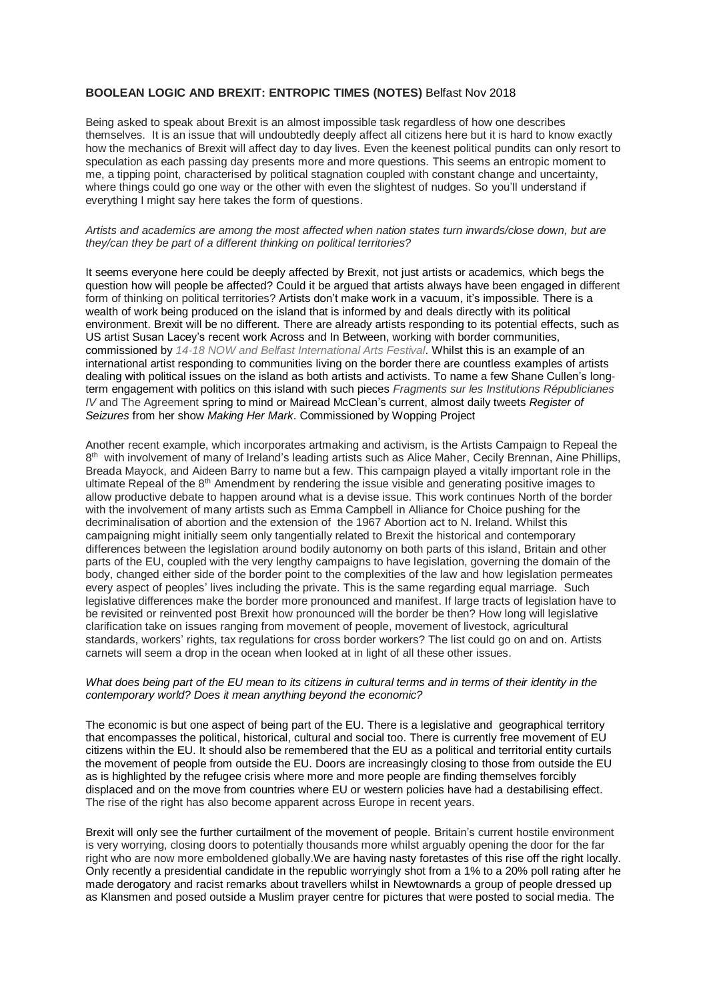### **BOOLEAN LOGIC AND BREXIT: ENTROPIC TIMES (NOTES)** Belfast Nov 2018

Being asked to speak about Brexit is an almost impossible task regardless of how one describes themselves. It is an issue that will undoubtedly deeply affect all citizens here but it is hard to know exactly how the mechanics of Brexit will affect day to day lives. Even the keenest political pundits can only resort to speculation as each passing day presents more and more questions. This seems an entropic moment to me, a tipping point, characterised by political stagnation coupled with constant change and uncertainty, where things could go one way or the other with even the slightest of nudges. So you'll understand if everything I might say here takes the form of questions.

### *Artists and academics are among the most affected when nation states turn inwards/close down, but are they/can they be part of a different thinking on political territories?*

It seems everyone here could be deeply affected by Brexit, not just artists or academics, which begs the question how will people be affected? Could it be argued that artists always have been engaged in different form of thinking on political territories? Artists don't make work in a vacuum, it's impossible. There is a wealth of work being produced on the island that is informed by and deals directly with its political environment. Brexit will be no different. There are already artists responding to its potential effects, such as US artist Susan Lacey's recent work Across and In Between, working with border communities, commissioned by *14-18 NOW and Belfast International Arts Festival*. Whilst this is an example of an international artist responding to communities living on the border there are countless examples of artists dealing with political issues on the island as both artists and activists. To name a few Shane Cullen's longterm engagement with politics on this island with such pieces *Fragments sur les Institutions Républicianes IV* and The Agreement spring to mind or Mairead McClean's current, almost daily tweets *Register of Seizures* from her show *Making Her Mark*. Commissioned by Wopping Project

Another recent example, which incorporates artmaking and activism, is the Artists Campaign to Repeal the 8<sup>th</sup> with involvement of many of Ireland's leading artists such as Alice Maher, Cecily Brennan, Aine Phillips, Breada Mayock, and Aideen Barry to name but a few. This campaign played a vitally important role in the ultimate Repeal of the 8<sup>th</sup> Amendment by rendering the issue visible and generating positive images to allow productive debate to happen around what is a devise issue. This work continues North of the border with the involvement of many artists such as Emma Campbell in Alliance for Choice pushing for the decriminalisation of abortion and the extension of the 1967 Abortion act to N. Ireland. Whilst this campaigning might initially seem only tangentially related to Brexit the historical and contemporary differences between the legislation around bodily autonomy on both parts of this island, Britain and other parts of the EU, coupled with the very lengthy campaigns to have legislation, governing the domain of the body, changed either side of the border point to the complexities of the law and how legislation permeates every aspect of peoples' lives including the private. This is the same regarding equal marriage. Such legislative differences make the border more pronounced and manifest. If large tracts of legislation have to be revisited or reinvented post Brexit how pronounced will the border be then? How long will legislative clarification take on issues ranging from movement of people, movement of livestock, agricultural standards, workers' rights, tax regulations for cross border workers? The list could go on and on. Artists carnets will seem a drop in the ocean when looked at in light of all these other issues.

### *What does being part of the EU mean to its citizens in cultural terms and in terms of their identity in the contemporary world? Does it mean anything beyond the economic?*

The economic is but one aspect of being part of the EU. There is a legislative and geographical territory that encompasses the political, historical, cultural and social too. There is currently free movement of EU citizens within the EU. It should also be remembered that the EU as a political and territorial entity curtails the movement of people from outside the EU. Doors are increasingly closing to those from outside the EU as is highlighted by the refugee crisis where more and more people are finding themselves forcibly displaced and on the move from countries where EU or western policies have had a destabilising effect. The rise of the right has also become apparent across Europe in recent years.

Brexit will only see the further curtailment of the movement of people. Britain's current hostile environment is very worrying, closing doors to potentially thousands more whilst arguably opening the door for the far right who are now more emboldened globally.We are having nasty foretastes of this rise off the right locally. Only recently a presidential candidate in the republic worryingly shot from a 1% to a 20% poll rating after he made derogatory and racist remarks about travellers whilst in Newtownards a group of people dressed up as Klansmen and posed outside a Muslim prayer centre for pictures that were posted to social media. The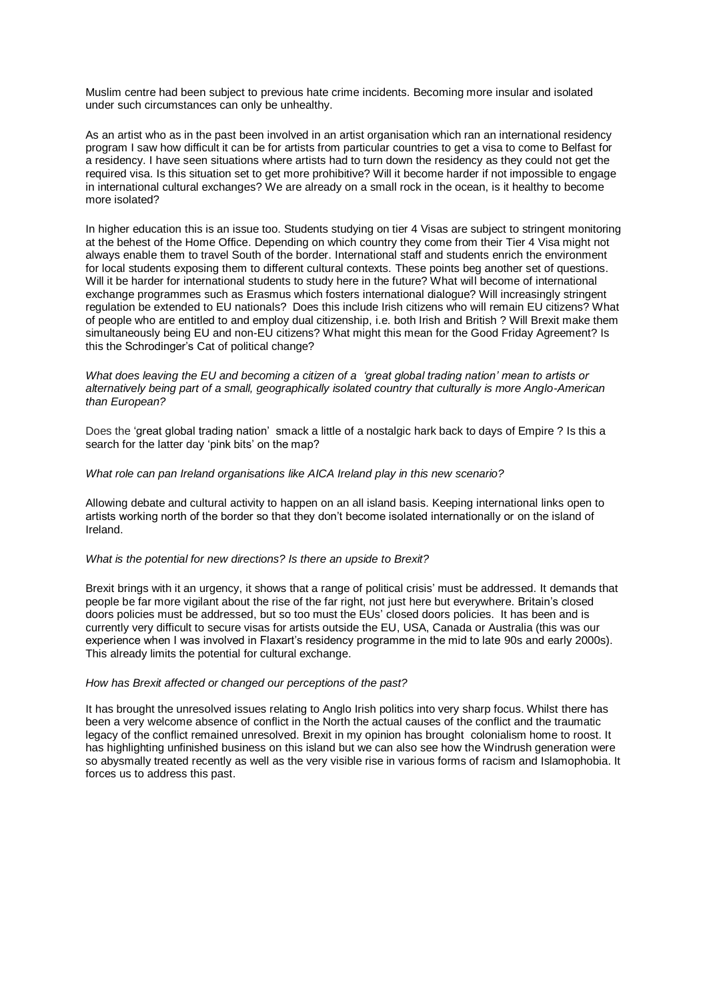Muslim centre had been subject to previous hate crime incidents. Becoming more insular and isolated under such circumstances can only be unhealthy.

As an artist who as in the past been involved in an artist organisation which ran an international residency program I saw how difficult it can be for artists from particular countries to get a visa to come to Belfast for a residency. I have seen situations where artists had to turn down the residency as they could not get the required visa. Is this situation set to get more prohibitive? Will it become harder if not impossible to engage in international cultural exchanges? We are already on a small rock in the ocean, is it healthy to become more isolated?

In higher education this is an issue too. Students studying on tier 4 Visas are subject to stringent monitoring at the behest of the Home Office. Depending on which country they come from their Tier 4 Visa might not always enable them to travel South of the border. International staff and students enrich the environment for local students exposing them to different cultural contexts. These points beg another set of questions. Will it be harder for international students to study here in the future? What will become of international exchange programmes such as Erasmus which fosters international dialogue? Will increasingly stringent regulation be extended to EU nationals? Does this include Irish citizens who will remain EU citizens? What of people who are entitled to and employ dual citizenship, i.e. both Irish and British ? Will Brexit make them simultaneously being EU and non-EU citizens? What might this mean for the Good Friday Agreement? Is this the Schrodinger's Cat of political change?

*What does leaving the EU and becoming a citizen of a 'great global trading nation' mean to artists or alternatively being part of a small, geographically isolated country that culturally is more Anglo-American than European?*

Does the 'great global trading nation' smack a little of a nostalgic hark back to days of Empire ? Is this a search for the latter day 'pink bits' on the map?

*What role can pan Ireland organisations like AICA Ireland play in this new scenario?*

Allowing debate and cultural activity to happen on an all island basis. Keeping international links open to artists working north of the border so that they don't become isolated internationally or on the island of Ireland.

### *What is the potential for new directions? Is there an upside to Brexit?*

Brexit brings with it an urgency, it shows that a range of political crisis' must be addressed. It demands that people be far more vigilant about the rise of the far right, not just here but everywhere. Britain's closed doors policies must be addressed, but so too must the EUs' closed doors policies. It has been and is currently very difficult to secure visas for artists outside the EU, USA, Canada or Australia (this was our experience when I was involved in Flaxart's residency programme in the mid to late 90s and early 2000s). This already limits the potential for cultural exchange.

#### *How has Brexit affected or changed our perceptions of the past?*

It has brought the unresolved issues relating to Anglo Irish politics into very sharp focus. Whilst there has been a very welcome absence of conflict in the North the actual causes of the conflict and the traumatic legacy of the conflict remained unresolved. Brexit in my opinion has brought colonialism home to roost. It has highlighting unfinished business on this island but we can also see how the Windrush generation were so abysmally treated recently as well as the very visible rise in various forms of racism and Islamophobia. It forces us to address this past.